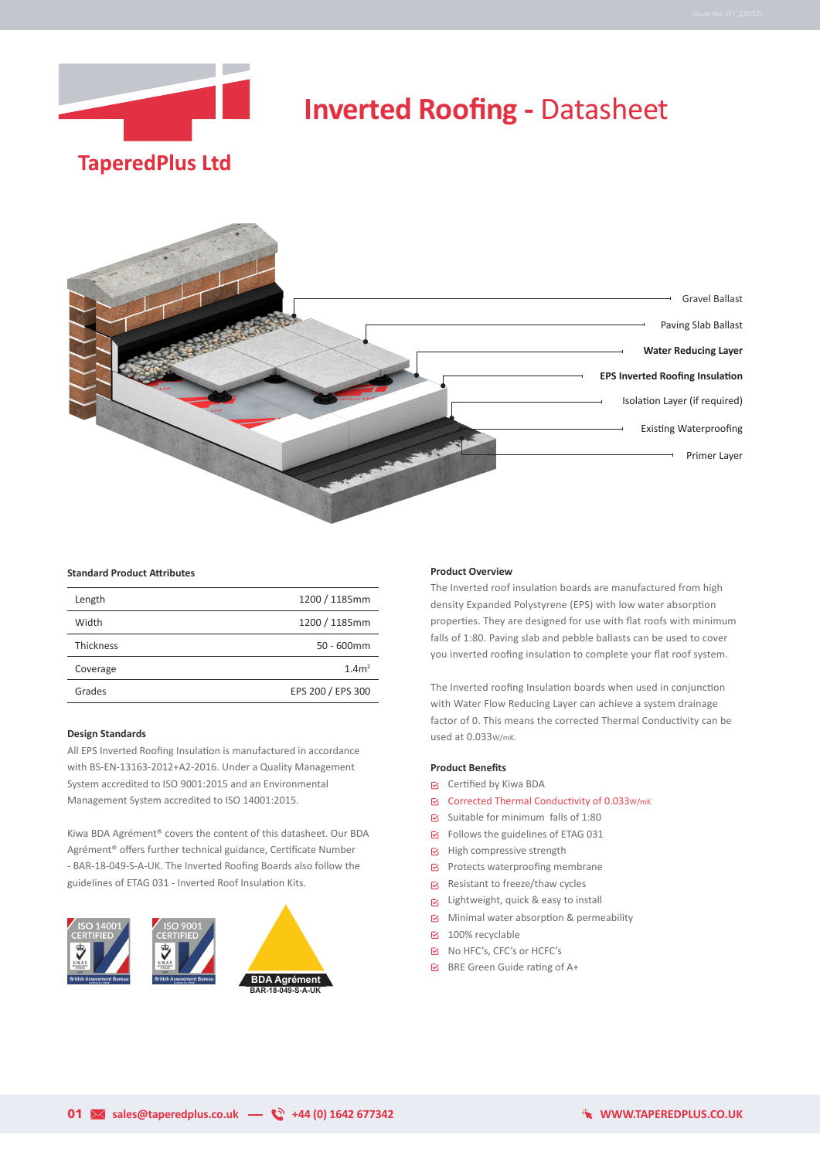



## **Standard Product Attributes**

| Length    | 1200 / 1185mm     |
|-----------|-------------------|
| Width     | 1200 / 1185mm     |
| Thickness | $50 - 600$ mm     |
| Coverage  | 1.4 $m2$          |
| Grades    | EPS 200 / EPS 300 |

### **Design Standards**

All EPS Inverted Roofing Insulation is manufactured in accordance with BS-EN-13163-2012+A2-2016. Under a Quality Management System accredited to ISO 9001:2015 and an Environmental Management System accredited to ISO 14001:2015.

Kiwa BDA Agrément® covers the content of this datasheet. Our BDA Agrément® offers further technical guidance, Certificate Number - BAR-18-049-S-A-UK. The Inverted Roofing Boards also follow the guidelines of ETAG 031 - Inverted Roof Insulation Kits.



#### **Product Overview**

The Inverted roof insulation boards are manufactured from high density Expanded Polystyrene (EPS) with low water absorption properties. They are designed for use with flat roofs with minimum falls of 1:80. Paving slab and pebble ballasts can be used to cover you inverted roofing insulation to complete your flat roof system.

The Inverted roofing Insulation boards when used in conjunction with Water Flow Reducing Layer can achieve a system drainage factor of 0. This means the corrected Thermal Conductivity can be used at 0.033W/mK.

### **Product Benefits**

- Certified by Kiwa BDA
- Corrected Thermal Conductivity of 0.033w/mK
- $\boxtimes$  Suitable for minimum falls of 1:80
- Follows the guidelines of ETAG 031
- $\boxtimes$  High compressive strength
- $\boxtimes$  Protects waterproofing membrane
- $\triangleright$  Resistant to freeze/thaw cycles
- $\nabla$  Lightweight, quick & easy to install
- $\boxtimes$  Minimal water absorption & permeability
- 100% recyclable
- No HFC's, CFC's or HCFC's
- $\boxtimes$  BRE Green Guide rating of A+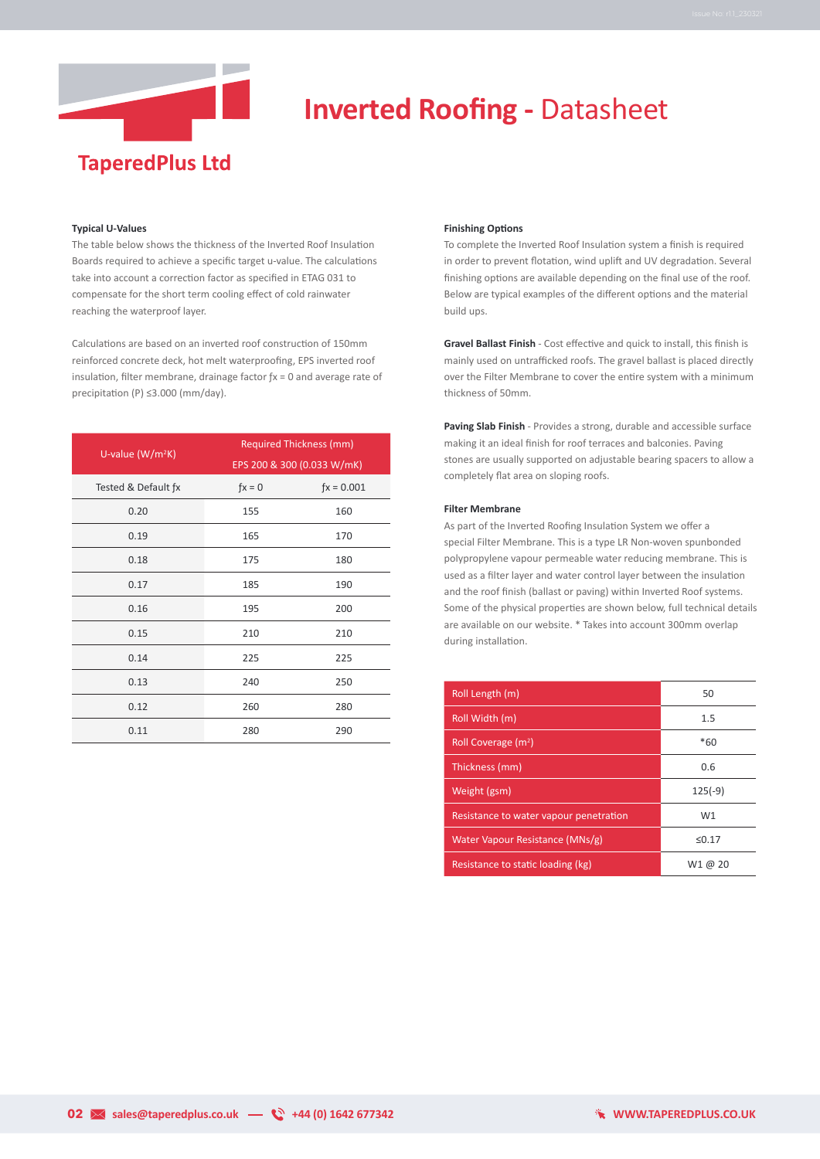

## **Typical U-Values**

The table below shows the thickness of the Inverted Roof Insulation Boards required to achieve a specific target u-value. The calculations take into account a correction factor as specified in ETAG 031 to compensate for the short term cooling effect of cold rainwater reaching the waterproof layer.

Calculations are based on an inverted roof construction of 150mm reinforced concrete deck, hot melt waterproofing, EPS inverted roof insulation, filter membrane, drainage factor ƒx = 0 and average rate of precipitation (P) ≤3.000 (mm/day).

| U-value ( $W/m^2K$ ) | <b>Required Thickness (mm)</b> |              |  |
|----------------------|--------------------------------|--------------|--|
|                      | EPS 200 & 300 (0.033 W/mK)     |              |  |
| Tested & Default fx  | $fx = 0$                       | $fx = 0.001$ |  |
| 0.20                 | 155                            | 160          |  |
| 0.19                 | 165                            | 170          |  |
| 0.18                 | 175                            | 180          |  |
| 0.17                 | 185                            | 190          |  |
| 0.16                 | 195                            | 200          |  |
| 0.15                 | 210                            | 210          |  |
| 0.14                 | 225                            | 225          |  |
| 0.13                 | 240                            | 250          |  |
| 0.12                 | 260                            | 280          |  |
| 0.11                 | 280                            | 290          |  |

### **Finishing Options**

To complete the Inverted Roof Insulation system a finish is required in order to prevent flotation, wind uplift and UV degradation. Several finishing options are available depending on the final use of the roof. Below are typical examples of the different options and the material build ups.

**Gravel Ballast Finish** - Cost effective and quick to install, this finish is mainly used on untrafficked roofs. The gravel ballast is placed directly over the Filter Membrane to cover the entire system with a minimum thickness of 50mm.

**Paving Slab Finish** - Provides a strong, durable and accessible surface making it an ideal finish for roof terraces and balconies. Paving stones are usually supported on adjustable bearing spacers to allow a completely flat area on sloping roofs.

### **Filter Membrane**

As part of the Inverted Roofing Insulation System we offer a special Filter Membrane. This is a type LR Non-woven spunbonded polypropylene vapour permeable water reducing membrane. This is used as a filter layer and water control layer between the insulation and the roof finish (ballast or paving) within Inverted Roof systems. Some of the physical properties are shown below, full technical details are available on our website. \* Takes into account 300mm overlap during installation.

| Roll Length (m)                        | 50        |
|----------------------------------------|-----------|
| Roll Width (m)                         | 1.5       |
| Roll Coverage $(m2)$                   | $*60$     |
| Thickness (mm)                         | 0.6       |
| Weight (gsm)                           | $125(-9)$ |
| Resistance to water vapour penetration | W1        |
| Water Vapour Resistance (MNs/g)        | ≤0.17     |
| Resistance to static loading (kg)      | W1 @ 20   |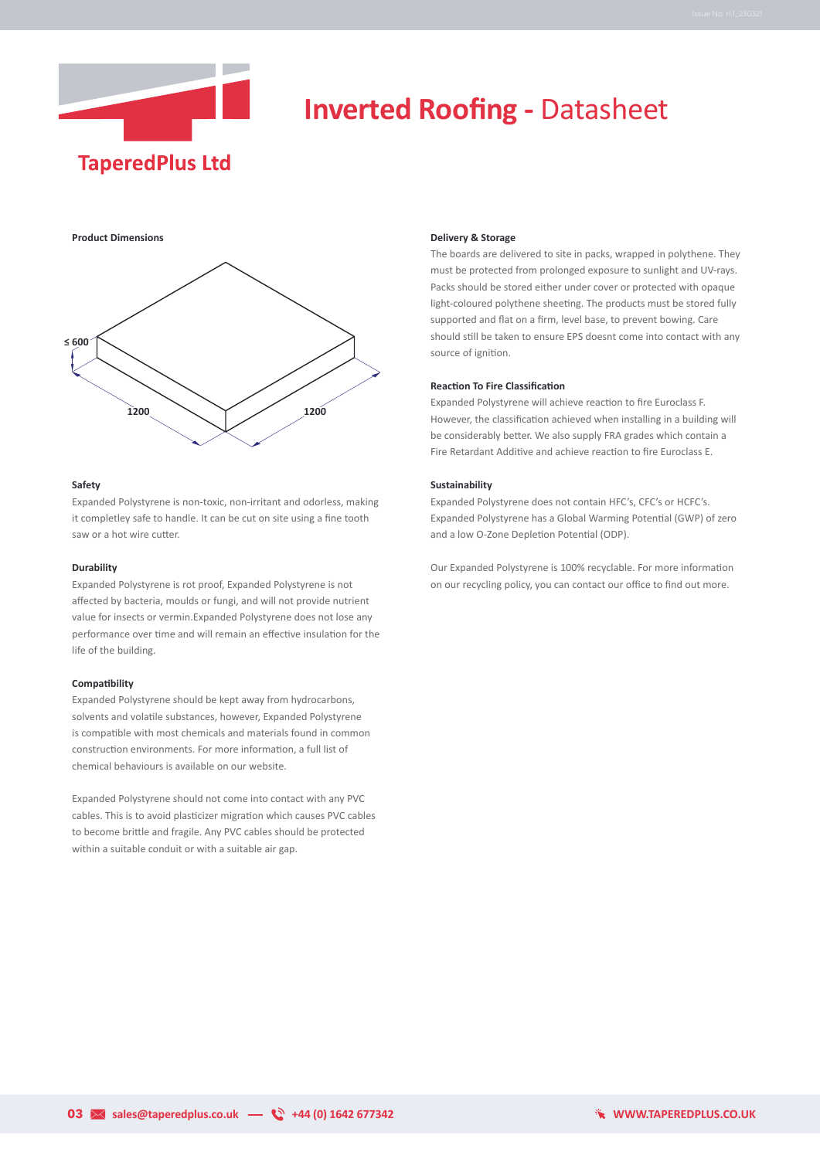

**Product Dimensions**



#### **Safety**

Expanded Polystyrene is non-toxic, non-irritant and odorless, making it completley safe to handle. It can be cut on site using a fine tooth saw or a hot wire cutter.

## **Durability**

Expanded Polystyrene is rot proof, Expanded Polystyrene is not affected by bacteria, moulds or fungi, and will not provide nutrient value for insects or vermin.Expanded Polystyrene does not lose any performance over time and will remain an effective insulation for the life of the building.

## **Compatibility**

Expanded Polystyrene should be kept away from hydrocarbons, solvents and volatile substances, however, Expanded Polystyrene is compatible with most chemicals and materials found in common construction environments. For more information, a full list of chemical behaviours is available on our website.

Expanded Polystyrene should not come into contact with any PVC cables. This is to avoid plasticizer migration which causes PVC cables to become brittle and fragile. Any PVC cables should be protected within a suitable conduit or with a suitable air gap.

#### **Delivery & Storage**

The boards are delivered to site in packs, wrapped in polythene. They must be protected from prolonged exposure to sunlight and UV-rays. Packs should be stored either under cover or protected with opaque light-coloured polythene sheeting. The products must be stored fully supported and flat on a firm, level base, to prevent bowing. Care should still be taken to ensure EPS doesnt come into contact with any source of ignition.

## **Reaction To Fire Classification**

Expanded Polystyrene will achieve reaction to fire Euroclass F. However, the classification achieved when installing in a building will be considerably better. We also supply FRA grades which contain a Fire Retardant Additive and achieve reaction to fire Euroclass E.

#### **Sustainability**

Expanded Polystyrene does not contain HFC's, CFC's or HCFC's. Expanded Polystyrene has a Global Warming Potential (GWP) of zero and a low O-Zone Depletion Potential (ODP).

Our Expanded Polystyrene is 100% recyclable. For more information on our recycling policy, you can contact our office to find out more.